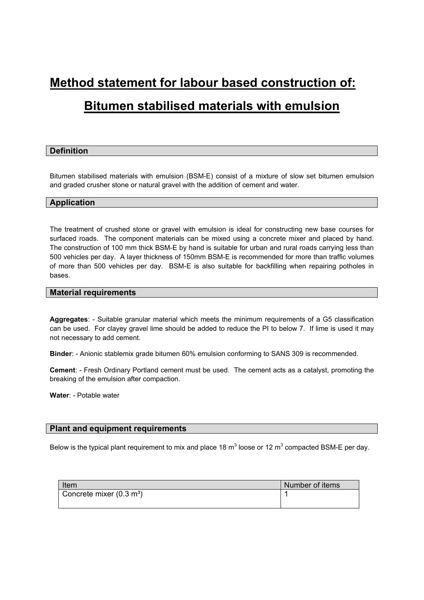# **Method statement for labour based construction of:**

# **Bitumen stabilised materials with emulsion**

# **Definition**

Bitumen stabilised materials with emulsion (BSM-E) consist of a mixture of slow set bitumen emulsion and graded crusher stone or natural gravel with the addition of cement and water.

# **Application**

The treatment of crushed stone or gravel with emulsion is ideal for constructing new base courses for surfaced roads. The component materials can be mixed using a concrete mixer and placed by hand. The construction of 100 mm thick BSM-E by hand is suitable for urban and rural roads carrying less than 500 vehicles per day. A layer thickness of 150mm BSM-E is recommended for more than traffic volumes of more than 500 vehicles per day. BSM-E is also suitable for backfilling when repairing potholes in bases.

# **Material requirements**

**Aggregates**: - Suitable granular material which meets the minimum requirements of a G5 classification can be used. For clayey gravel lime should be added to reduce the PI to below 7. If lime is used it may not necessary to add cement.

**Binder**: - Anionic stablemix grade bitumen 60% emulsion conforming to SANS 309 is recommended.

**Cement**: - Fresh Ordinary Portland cement must be used. The cement acts as a catalyst, promoting the breaking of the emulsion after compaction.

**Water**: - Potable water

#### **Plant and equipment requirements**

Below is the typical plant requirement to mix and place 18  $m^3$  loose or 12  $m^3$  compacted BSM-E per day.

| Item                               | Number of items |
|------------------------------------|-----------------|
| Concrete mixer $(0.3 \text{ m}^3)$ |                 |
|                                    |                 |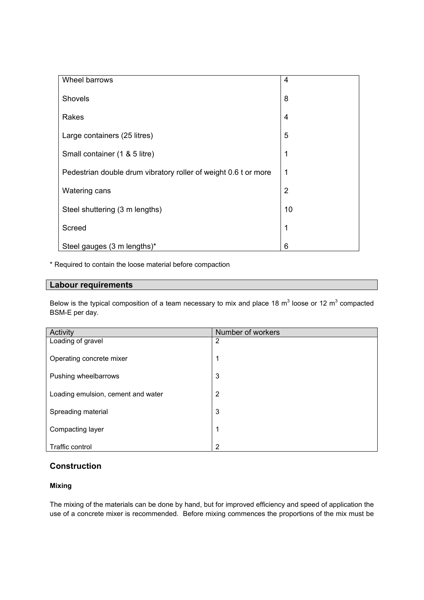| Wheel barrows                                                   | $\overline{4}$ |
|-----------------------------------------------------------------|----------------|
| Shovels                                                         | 8              |
| Rakes                                                           | $\overline{4}$ |
| Large containers (25 litres)                                    | 5              |
| Small container (1 & 5 litre)                                   | 1              |
| Pedestrian double drum vibratory roller of weight 0.6 t or more | 1              |
| Watering cans                                                   | $\overline{2}$ |
| Steel shuttering (3 m lengths)                                  | 10             |
| Screed                                                          | 1              |
| Steel gauges (3 m lengths)*                                     | 6              |

\* Required to contain the loose material before compaction

# **Labour requirements**

Below is the typical composition of a team necessary to mix and place 18 m<sup>3</sup> loose or 12 m<sup>3</sup> compacted BSM-E per day.

| Activity                           | Number of workers |
|------------------------------------|-------------------|
| Loading of gravel                  | $\overline{2}$    |
|                                    |                   |
| Operating concrete mixer           | 1                 |
|                                    |                   |
| Pushing wheelbarrows               | 3                 |
|                                    |                   |
| Loading emulsion, cement and water | $\overline{2}$    |
|                                    |                   |
| Spreading material                 | 3                 |
|                                    |                   |
| Compacting layer                   | 1                 |
|                                    |                   |
| Traffic control                    | $\overline{2}$    |

# **Construction**

# **Mixing**

The mixing of the materials can be done by hand, but for improved efficiency and speed of application the use of a concrete mixer is recommended. Before mixing commences the proportions of the mix must be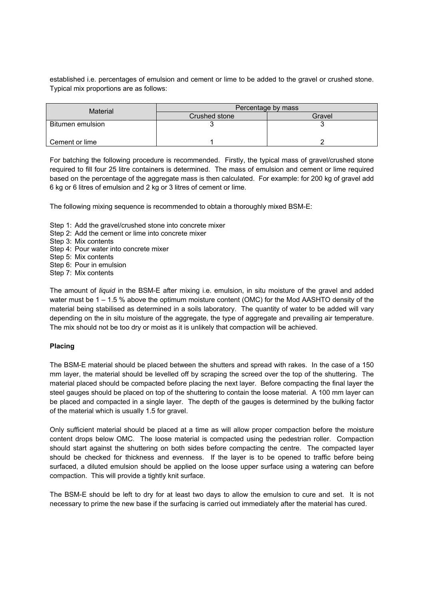established i.e. percentages of emulsion and cement or lime to be added to the gravel or crushed stone. Typical mix proportions are as follows:

| Material         | Percentage by mass |        |  |
|------------------|--------------------|--------|--|
|                  | Crushed stone      | Gravel |  |
| Bitumen emulsion |                    |        |  |
| Cement or lime   |                    |        |  |

For batching the following procedure is recommended. Firstly, the typical mass of gravel/crushed stone required to fill four 25 litre containers is determined. The mass of emulsion and cement or lime required based on the percentage of the aggregate mass is then calculated. For example: for 200 kg of gravel add 6 kg or 6 litres of emulsion and 2 kg or 3 litres of cement or lime.

The following mixing sequence is recommended to obtain a thoroughly mixed BSM-E:

- Step 1: Add the gravel/crushed stone into concrete mixer
- Step 2: Add the cement or lime into concrete mixer
- Step 3: Mix contents
- Step 4: Pour water into concrete mixer
- Step 5: Mix contents
- Step 6: Pour in emulsion
- Step 7: Mix contents

The amount of *liquid* in the BSM-E after mixing i.e. emulsion, in situ moisture of the gravel and added water must be 1 – 1.5 % above the optimum moisture content (OMC) for the Mod AASHTO density of the material being stabilised as determined in a soils laboratory. The quantity of water to be added will vary depending on the in situ moisture of the aggregate, the type of aggregate and prevailing air temperature. The mix should not be too dry or moist as it is unlikely that compaction will be achieved.

#### **Placing**

The BSM-E material should be placed between the shutters and spread with rakes. In the case of a 150 mm layer, the material should be levelled off by scraping the screed over the top of the shuttering. The material placed should be compacted before placing the next layer. Before compacting the final layer the steel gauges should be placed on top of the shuttering to contain the loose material. A 100 mm layer can be placed and compacted in a single layer. The depth of the gauges is determined by the bulking factor of the material which is usually 1.5 for gravel.

Only sufficient material should be placed at a time as will allow proper compaction before the moisture content drops below OMC. The loose material is compacted using the pedestrian roller. Compaction should start against the shuttering on both sides before compacting the centre. The compacted layer should be checked for thickness and evenness. If the layer is to be opened to traffic before being surfaced, a diluted emulsion should be applied on the loose upper surface using a watering can before compaction. This will provide a tightly knit surface.

The BSM-E should be left to dry for at least two days to allow the emulsion to cure and set. It is not necessary to prime the new base if the surfacing is carried out immediately after the material has cured.